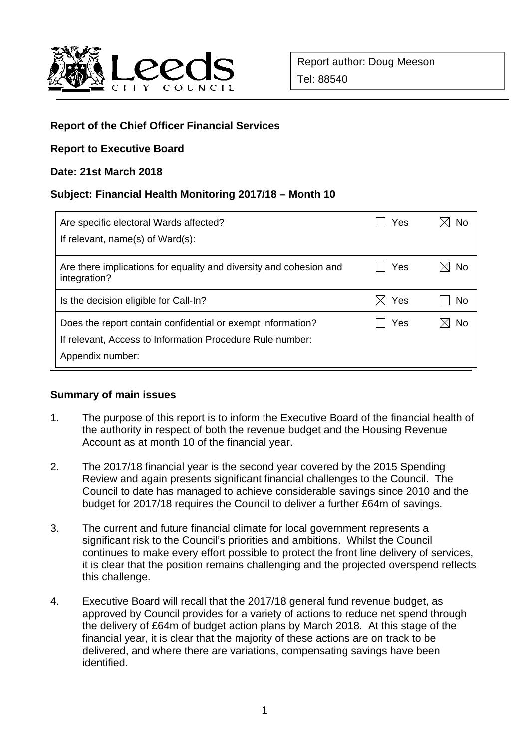

## **Report of the Chief Officer Financial Services**

### **Report to Executive Board**

#### **Date: 21st March 2018**

### **Subject: Financial Health Monitoring 2017/18 – Month 10**

| Are specific electoral Wards affected?<br>If relevant, name(s) of Ward(s):                                                                   | Yes              | No |
|----------------------------------------------------------------------------------------------------------------------------------------------|------------------|----|
| Are there implications for equality and diversity and cohesion and<br>integration?                                                           | Yes              | No |
| Is the decision eligible for Call-In?                                                                                                        | Yes<br>$\bowtie$ | No |
| Does the report contain confidential or exempt information?<br>If relevant, Access to Information Procedure Rule number:<br>Appendix number: | Yes              | No |

#### **Summary of main issues**

- 1. The purpose of this report is to inform the Executive Board of the financial health of the authority in respect of both the revenue budget and the Housing Revenue Account as at month 10 of the financial year.
- 2. The 2017/18 financial year is the second year covered by the 2015 Spending Review and again presents significant financial challenges to the Council. The Council to date has managed to achieve considerable savings since 2010 and the budget for 2017/18 requires the Council to deliver a further £64m of savings.
- 3. The current and future financial climate for local government represents a significant risk to the Council's priorities and ambitions. Whilst the Council continues to make every effort possible to protect the front line delivery of services, it is clear that the position remains challenging and the projected overspend reflects this challenge.
- 4. Executive Board will recall that the 2017/18 general fund revenue budget, as approved by Council provides for a variety of actions to reduce net spend through the delivery of £64m of budget action plans by March 2018. At this stage of the financial year, it is clear that the majority of these actions are on track to be delivered, and where there are variations, compensating savings have been identified.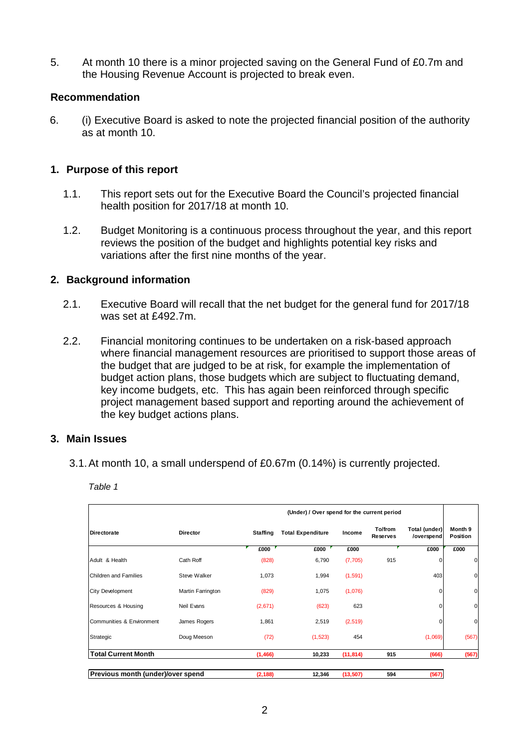5. At month 10 there is a minor projected saving on the General Fund of £0.7m and the Housing Revenue Account is projected to break even.

#### **Recommendation**

6. (i) Executive Board is asked to note the projected financial position of the authority as at month 10.

#### **1. Purpose of this report**

- 1.1. This report sets out for the Executive Board the Council's projected financial health position for 2017/18 at month 10.
- 1.2. Budget Monitoring is a continuous process throughout the year, and this report reviews the position of the budget and highlights potential key risks and variations after the first nine months of the year.

#### **2. Background information**

- 2.1. Executive Board will recall that the net budget for the general fund for 2017/18 was set at £492.7m.
- 2.2. Financial monitoring continues to be undertaken on a risk-based approach where financial management resources are prioritised to support those areas of the budget that are judged to be at risk, for example the implementation of budget action plans, those budgets which are subject to fluctuating demand, key income budgets, etc. This has again been reinforced through specific project management based support and reporting around the achievement of the key budget actions plans.

#### **3. Main Issues**

3.1. At month 10, a small underspend of £0.67m (0.14%) is currently projected.

*Table 1* 

|                                   |                   | (Under) / Over spend for the current period |                          |           |                            |                             |                     |
|-----------------------------------|-------------------|---------------------------------------------|--------------------------|-----------|----------------------------|-----------------------------|---------------------|
| <b>Directorate</b>                | <b>Director</b>   | <b>Staffing</b>                             | <b>Total Expenditure</b> | Income    | To/from<br><b>Reserves</b> | Total (under)<br>/overspend | Month 9<br>Position |
|                                   |                   | £000                                        | £000                     | £000      |                            | £000                        | £000                |
| Adult & Health                    | Cath Roff         | (828)                                       | 6,790                    | (7, 705)  | 915                        |                             | $\mathbf 0$         |
| Children and Families             | Steve Walker      | 1,073                                       | 1,994                    | (1, 591)  |                            | 403                         | 0                   |
| <b>City Development</b>           | Martin Farrington | (829)                                       | 1,075                    | (1,076)   |                            |                             | 0                   |
| Resources & Housing               | Neil Evans        | (2,671)                                     | (623)                    | 623       |                            |                             | $\mathbf 0$         |
| Communities & Environment         | James Rogers      | 1,861                                       | 2,519                    | (2,519)   |                            |                             | $\mathbf 0$         |
| Strategic                         | Doug Meeson       | (72)                                        | (1, 523)                 | 454       |                            | (1,069)                     | (567)               |
| <b>Total Current Month</b>        |                   | (1, 466)                                    | 10,233                   | (11, 814) | 915                        | (666)                       | (567)               |
| Previous month (under)/over spend |                   | (2, 188)                                    | 12,346                   | (13, 507) | 594                        | (567)                       |                     |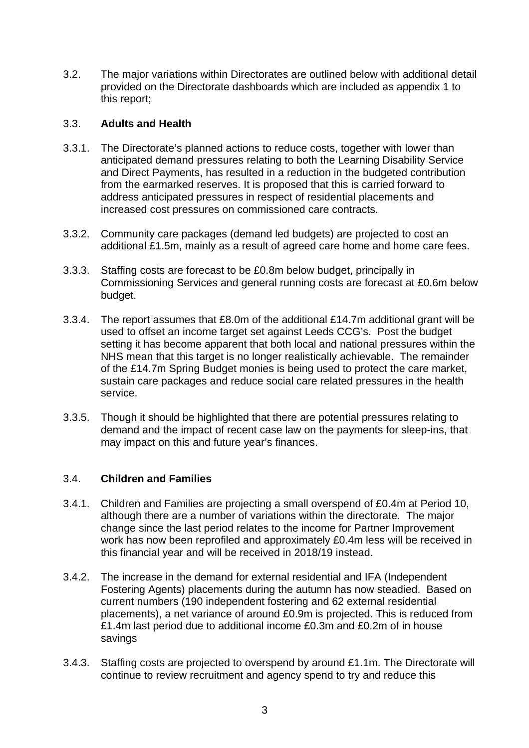3.2. The major variations within Directorates are outlined below with additional detail provided on the Directorate dashboards which are included as appendix 1 to this report;

### 3.3. **Adults and Health**

- 3.3.1. The Directorate's planned actions to reduce costs, together with lower than anticipated demand pressures relating to both the Learning Disability Service and Direct Payments, has resulted in a reduction in the budgeted contribution from the earmarked reserves. It is proposed that this is carried forward to address anticipated pressures in respect of residential placements and increased cost pressures on commissioned care contracts.
- 3.3.2. Community care packages (demand led budgets) are projected to cost an additional £1.5m, mainly as a result of agreed care home and home care fees.
- 3.3.3. Staffing costs are forecast to be £0.8m below budget, principally in Commissioning Services and general running costs are forecast at £0.6m below budget.
- 3.3.4. The report assumes that £8.0m of the additional £14.7m additional grant will be used to offset an income target set against Leeds CCG's. Post the budget setting it has become apparent that both local and national pressures within the NHS mean that this target is no longer realistically achievable. The remainder of the £14.7m Spring Budget monies is being used to protect the care market, sustain care packages and reduce social care related pressures in the health service.
- 3.3.5. Though it should be highlighted that there are potential pressures relating to demand and the impact of recent case law on the payments for sleep-ins, that may impact on this and future year's finances.

## 3.4. **Children and Families**

- 3.4.1. Children and Families are projecting a small overspend of £0.4m at Period 10, although there are a number of variations within the directorate. The major change since the last period relates to the income for Partner Improvement work has now been reprofiled and approximately £0.4m less will be received in this financial year and will be received in 2018/19 instead.
- 3.4.2. The increase in the demand for external residential and IFA (Independent Fostering Agents) placements during the autumn has now steadied. Based on current numbers (190 independent fostering and 62 external residential placements), a net variance of around £0.9m is projected. This is reduced from £1.4m last period due to additional income £0.3m and £0.2m of in house savings
- 3.4.3. Staffing costs are projected to overspend by around £1.1m. The Directorate will continue to review recruitment and agency spend to try and reduce this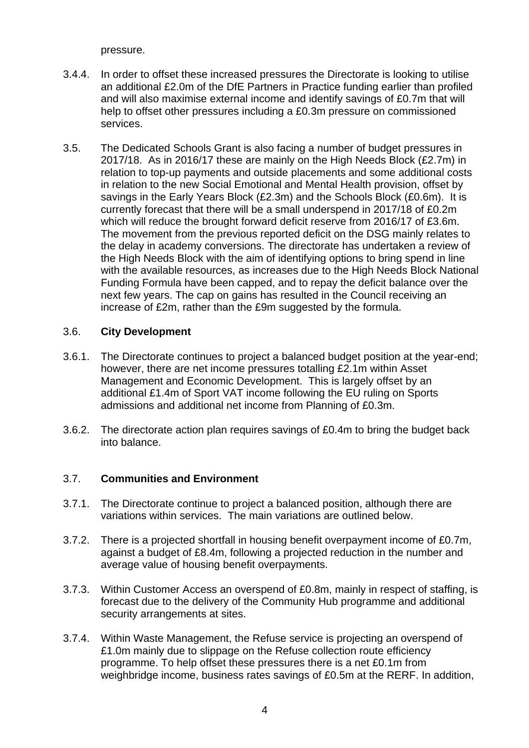pressure.

- 3.4.4. In order to offset these increased pressures the Directorate is looking to utilise an additional £2.0m of the DfE Partners in Practice funding earlier than profiled and will also maximise external income and identify savings of £0.7m that will help to offset other pressures including a £0.3m pressure on commissioned services.
- 3.5. The Dedicated Schools Grant is also facing a number of budget pressures in 2017/18. As in 2016/17 these are mainly on the High Needs Block (£2.7m) in relation to top-up payments and outside placements and some additional costs in relation to the new Social Emotional and Mental Health provision, offset by savings in the Early Years Block (£2.3m) and the Schools Block (£0.6m). It is currently forecast that there will be a small underspend in 2017/18 of £0.2m which will reduce the brought forward deficit reserve from 2016/17 of £3.6m. The movement from the previous reported deficit on the DSG mainly relates to the delay in academy conversions. The directorate has undertaken a review of the High Needs Block with the aim of identifying options to bring spend in line with the available resources, as increases due to the High Needs Block National Funding Formula have been capped, and to repay the deficit balance over the next few years. The cap on gains has resulted in the Council receiving an increase of £2m, rather than the £9m suggested by the formula.

## 3.6. **City Development**

- 3.6.1. The Directorate continues to project a balanced budget position at the year-end; however, there are net income pressures totalling £2.1m within Asset Management and Economic Development. This is largely offset by an additional £1.4m of Sport VAT income following the EU ruling on Sports admissions and additional net income from Planning of £0.3m.
- 3.6.2. The directorate action plan requires savings of £0.4m to bring the budget back into balance.

## 3.7. **Communities and Environment**

- 3.7.1. The Directorate continue to project a balanced position, although there are variations within services. The main variations are outlined below.
- 3.7.2. There is a projected shortfall in housing benefit overpayment income of £0.7m, against a budget of £8.4m, following a projected reduction in the number and average value of housing benefit overpayments.
- 3.7.3. Within Customer Access an overspend of £0.8m, mainly in respect of staffing, is forecast due to the delivery of the Community Hub programme and additional security arrangements at sites.
- 3.7.4. Within Waste Management, the Refuse service is projecting an overspend of £1.0m mainly due to slippage on the Refuse collection route efficiency programme. To help offset these pressures there is a net £0.1m from weighbridge income, business rates savings of £0.5m at the RERF. In addition,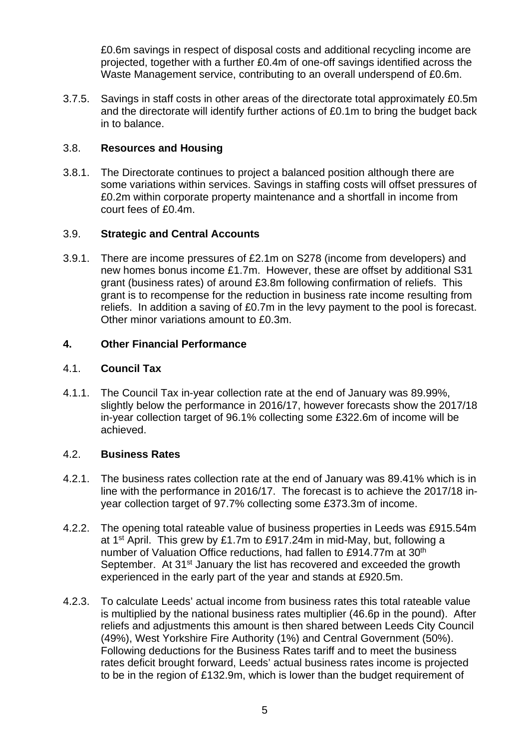£0.6m savings in respect of disposal costs and additional recycling income are projected, together with a further £0.4m of one-off savings identified across the Waste Management service, contributing to an overall underspend of £0.6m.

3.7.5. Savings in staff costs in other areas of the directorate total approximately £0.5m and the directorate will identify further actions of £0.1m to bring the budget back in to balance.

### 3.8. **Resources and Housing**

3.8.1. The Directorate continues to project a balanced position although there are some variations within services. Savings in staffing costs will offset pressures of £0.2m within corporate property maintenance and a shortfall in income from court fees of £0.4m.

### 3.9. **Strategic and Central Accounts**

3.9.1. There are income pressures of £2.1m on S278 (income from developers) and new homes bonus income £1.7m. However, these are offset by additional S31 grant (business rates) of around £3.8m following confirmation of reliefs. This grant is to recompense for the reduction in business rate income resulting from reliefs. In addition a saving of £0.7m in the levy payment to the pool is forecast. Other minor variations amount to £0.3m.

#### **4. Other Financial Performance**

### 4.1. **Council Tax**

4.1.1. The Council Tax in-year collection rate at the end of January was 89.99%, slightly below the performance in 2016/17, however forecasts show the 2017/18 in-year collection target of 96.1% collecting some £322.6m of income will be achieved.

#### 4.2. **Business Rates**

- 4.2.1. The business rates collection rate at the end of January was 89.41% which is in line with the performance in 2016/17. The forecast is to achieve the 2017/18 inyear collection target of 97.7% collecting some £373.3m of income.
- 4.2.2. The opening total rateable value of business properties in Leeds was £915.54m at 1st April. This grew by £1.7m to £917.24m in mid-May, but, following a number of Valuation Office reductions, had fallen to £914.77m at 30<sup>th</sup> September. At 31<sup>st</sup> January the list has recovered and exceeded the growth experienced in the early part of the year and stands at £920.5m.
- 4.2.3. To calculate Leeds' actual income from business rates this total rateable value is multiplied by the national business rates multiplier (46.6p in the pound). After reliefs and adjustments this amount is then shared between Leeds City Council (49%), West Yorkshire Fire Authority (1%) and Central Government (50%). Following deductions for the Business Rates tariff and to meet the business rates deficit brought forward, Leeds' actual business rates income is projected to be in the region of £132.9m, which is lower than the budget requirement of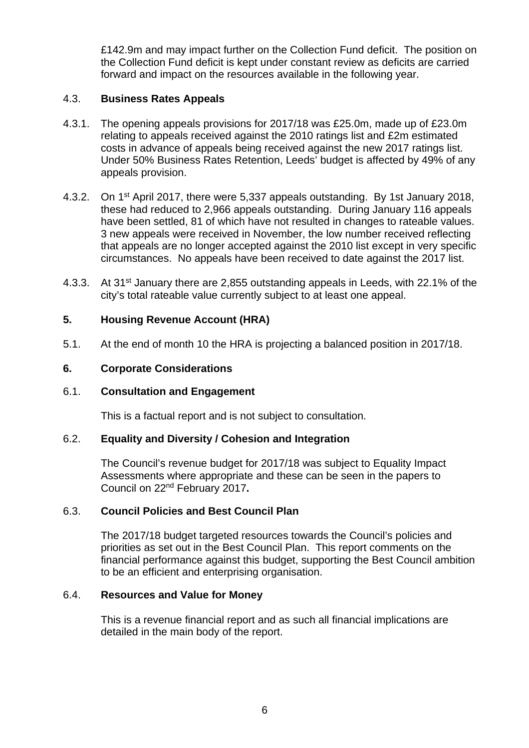£142.9m and may impact further on the Collection Fund deficit. The position on the Collection Fund deficit is kept under constant review as deficits are carried forward and impact on the resources available in the following year.

### 4.3. **Business Rates Appeals**

- 4.3.1. The opening appeals provisions for 2017/18 was £25.0m, made up of £23.0m relating to appeals received against the 2010 ratings list and £2m estimated costs in advance of appeals being received against the new 2017 ratings list. Under 50% Business Rates Retention, Leeds' budget is affected by 49% of any appeals provision.
- 4.3.2. On 1st April 2017, there were 5,337 appeals outstanding. By 1st January 2018, these had reduced to 2,966 appeals outstanding. During January 116 appeals have been settled, 81 of which have not resulted in changes to rateable values. 3 new appeals were received in November, the low number received reflecting that appeals are no longer accepted against the 2010 list except in very specific circumstances. No appeals have been received to date against the 2017 list.
- 4.3.3. At 31<sup>st</sup> January there are 2,855 outstanding appeals in Leeds, with 22.1% of the city's total rateable value currently subject to at least one appeal.

### **5. Housing Revenue Account (HRA)**

5.1. At the end of month 10 the HRA is projecting a balanced position in 2017/18.

### **6. Corporate Considerations**

#### 6.1. **Consultation and Engagement**

This is a factual report and is not subject to consultation.

#### 6.2. **Equality and Diversity / Cohesion and Integration**

The Council's revenue budget for 2017/18 was subject to Equality Impact Assessments where appropriate and these can be seen in the papers to Council on 22nd February 2017**.** 

## 6.3. **Council Policies and Best Council Plan**

The 2017/18 budget targeted resources towards the Council's policies and priorities as set out in the Best Council Plan. This report comments on the financial performance against this budget, supporting the Best Council ambition to be an efficient and enterprising organisation.

#### 6.4. **Resources and Value for Money**

This is a revenue financial report and as such all financial implications are detailed in the main body of the report.